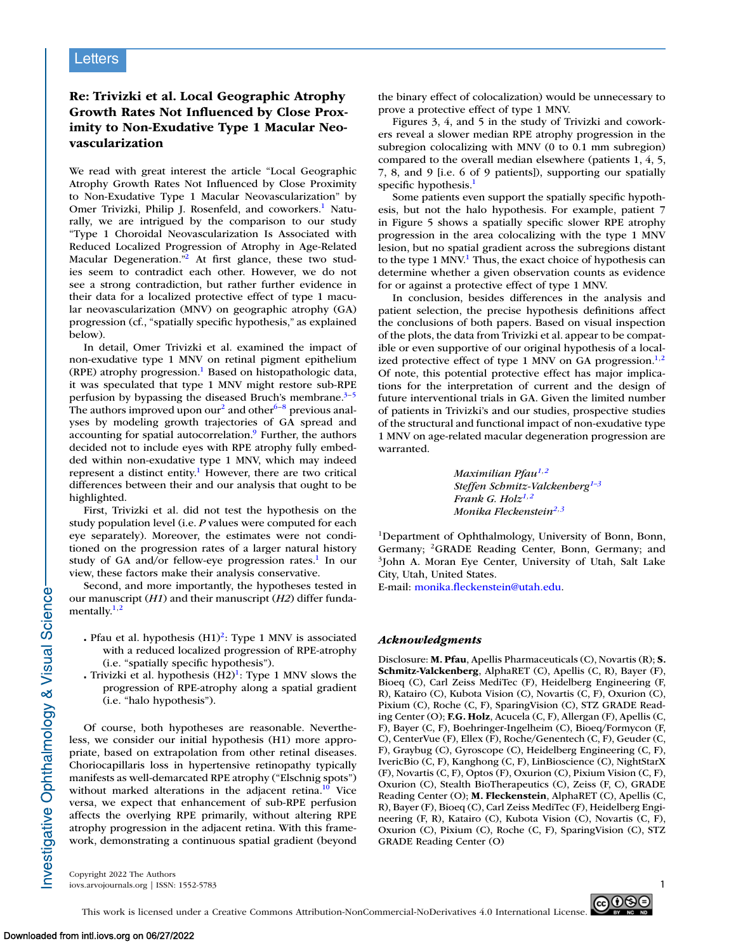## **Re: Trivizki et al. Local Geographic Atrophy Growth Rates Not Influenced by Close Proximity to Non-Exudative Type 1 Macular Neovascularization**

We read with great interest the article "Local Geographic Atrophy Growth Rates Not Influenced by Close Proximity to Non-Exudative Type 1 Macular Neovascularization" by Omer Trivizki, Philip J. Rosenfeld, and coworkers.<sup>1</sup> Naturally, we are intrigued by the comparison to our study "Type 1 Choroidal Neovascularization Is Associated with Reduced Localized Progression of Atrophy in Age-Related Macular Degeneration."<sup>2</sup> At first glance, these two studies seem to contradict each other. However, we do not see a strong contradiction, but rather further evidence in their data for a localized protective effect of type 1 macular neovascularization (MNV) on geographic atrophy (GA) progression (cf., "spatially specific hypothesis," as explained below).

In detail, Omer Trivizki et al. examined the impact of non-exudative type 1 MNV on retinal pigment epithelium (RPE) atrophy progression.<sup>1</sup> Based on histopathologic data, it was speculated that type 1 MNV might restore sub-RPE perfusion by bypassing the diseased Bruch's membrane. $3-5$ The authors improved upon our<sup>2</sup> and other<sup>[6–8](#page-1-0)</sup> previous analyses by modeling growth trajectories of GA spread and accounting for spatial autocorrelation.<sup>9</sup> Further, the authors decided not to include eyes with RPE atrophy fully embedded within non-exudative type 1 MNV, which may indeed represent a distinct entity.<sup>1</sup> However, there are two critical differences between their and our analysis that ought to be highlighted.

First, Trivizki et al. did not test the hypothesis on the study population level (i.e. *P* values were computed for each eye separately). Moreover, the estimates were not conditioned on the progression rates of a larger natural history study of GA and/or fellow-eye progression rates.<sup>1</sup> In our view, these factors make their analysis conservative.

Second, and more importantly, the hypotheses tested in our manuscript (*H1*) and their manuscript (*H2*) differ fundamentally. $1,2$ 

- . Pfau et al. hypothesis (H1)<sup>2</sup>: Type 1 MNV is associated with a reduced localized progression of RPE-atrophy (i.e. "spatially specific hypothesis").
- Trivizki et al. hypothesis  $(H2)^{1}$ : Type 1 MNV slows the progression of RPE-atrophy along a spatial gradient (i.e. "halo hypothesis").

Of course, both hypotheses are reasonable. Nevertheless, we consider our initial hypothesis (H1) more appropriate, based on extrapolation from other retinal diseases. Choriocapillaris loss in hypertensive retinopathy typically manifests as well-demarcated RPE atrophy ("Elschnig spots") without marked alterations in the adjacent retina. $10$  Vice versa, we expect that enhancement of sub-RPE perfusion affects the overlying RPE primarily, without altering RPE atrophy progression in the adjacent retina. With this framework, demonstrating a continuous spatial gradient (beyond the binary effect of colocalization) would be unnecessary to prove a protective effect of type 1 MNV.

Figures 3, 4, and 5 in the study of Trivizki and coworkers reveal a slower median RPE atrophy progression in the subregion colocalizing with MNV (0 to 0.1 mm subregion) compared to the overall median elsewhere (patients 1, 4, 5, 7, 8, and 9 [i.e. 6 of 9 patients]), supporting our spatially specific hypothesis.<sup>1</sup>

Some patients even support the spatially specific hypothesis, but not the halo hypothesis. For example, patient 7 in Figure 5 shows a spatially specific slower RPE atrophy progression in the area colocalizing with the type 1 MNV lesion, but no spatial gradient across the subregions distant to the type 1 MNV.<sup>1</sup> Thus, the exact choice of hypothesis can determine whether a given observation counts as evidence for or against a protective effect of type 1 MNV.

In conclusion, besides differences in the analysis and patient selection, the precise hypothesis definitions affect the conclusions of both papers. Based on visual inspection of the plots, the data from Trivizki et al. appear to be compatible or even supportive of our original hypothesis of a localized protective effect of type 1 MNV on GA progression. $1,2$ Of note, this potential protective effect has major implications for the interpretation of current and the design of future interventional trials in GA. Given the limited number of patients in Trivizki's and our studies, prospective studies of the structural and functional impact of non-exudative type 1 MNV on age-related macular degeneration progression are warranted.

> *Maximilian Pfau1,2 Steffen Schmitz-Valckenberg1–3 Frank G. Holz1,2 Monika Fleckenstein2,3*

1Department of Ophthalmology, University of Bonn, Bonn, Germany; <sup>2</sup>GRADE Reading Center, Bonn, Germany; and 3John A. Moran Eye Center, University of Utah, Salt Lake City, Utah, United States.

E-mail: [monika.fleckenstein@utah.edu.](mailto:monika.fleckenstein@utah.edu)

## *Acknowledgments*

Disclosure: **M. Pfau**, Apellis Pharmaceuticals (C), Novartis (R); **S. Schmitz-Valckenberg**, AlphaRET (C), Apellis (C, R), Bayer (F), Bioeq (C), Carl Zeiss MediTec (F), Heidelberg Engineering (F, R), Katairo (C), Kubota Vision (C), Novartis (C, F), Oxurion (C), Pixium (C), Roche (C, F), SparingVision (C), STZ GRADE Reading Center (O); **F.G. Holz**, Acucela (C, F), Allergan (F), Apellis (C, F), Bayer (C, F), Boehringer-Ingelheim (C), Bioeq/Formycon (F, C), CenterVue (F), Ellex (F), Roche/Genentech (C, F), Geuder (C, F), Graybug (C), Gyroscope (C), Heidelberg Engineering (C, F), IvericBio (C, F), Kanghong (C, F), LinBioscience (C), NightStarX (F), Novartis (C, F), Optos (F), Oxurion (C), Pixium Vision (C, F), Oxurion (C), Stealth BioTherapeutics (C), Zeiss (F, C), GRADE Reading Center (O); **M. Fleckenstein**, AlphaRET (C), Apellis (C, R), Bayer (F), Bioeq (C), Carl Zeiss MediTec (F), Heidelberg Engineering (F, R), Katairo (C), Kubota Vision (C), Novartis (C, F), Oxurion (C), Pixium (C), Roche (C, F), SparingVision (C), STZ GRADE Reading Center (O)

Copyright 2022 The Authors iovs.arvojournals.org | ISSN: 1552-5783 1



Investigative Ophthalmology & Visual Science